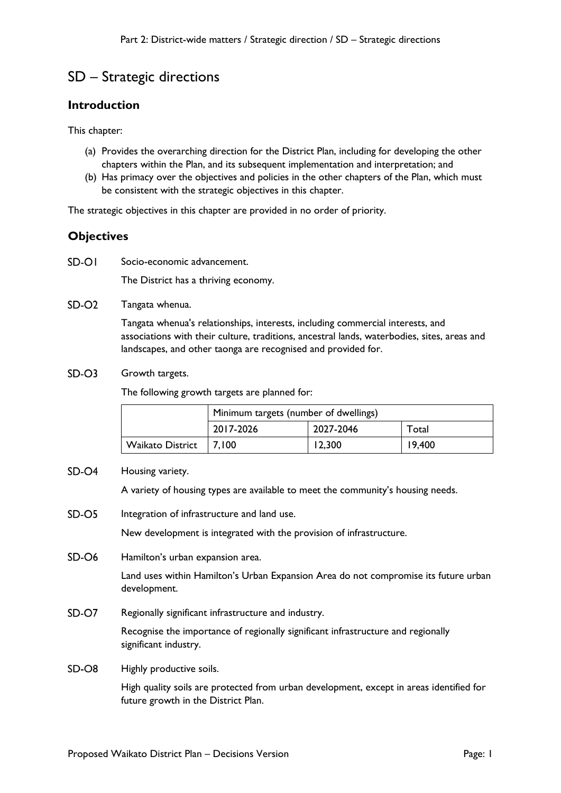# SD – Strategic directions

## **Introduction**

This chapter:

- (a) Provides the overarching direction for the District Plan, including for developing the other chapters within the Plan, and its subsequent implementation and interpretation; and
- (b) Has primacy over the objectives and policies in the other chapters of the Plan, which must be consistent with the strategic objectives in this chapter.

The strategic objectives in this chapter are provided in no order of priority.

## **Objectives**

 $SD-O1$ Socio-economic advancement.

The District has a thriving economy.

 $SD-O2$ Tangata whenua.

> Tangata whenua's relationships, interests, including commercial interests, and associations with their culture, traditions, ancestral lands, waterbodies, sites, areas and landscapes, and other taonga are recognised and provided for.

 $SD-O3$ Growth targets.

The following growth targets are planned for:

|                         | Minimum targets (number of dwellings) |           |        |
|-------------------------|---------------------------------------|-----------|--------|
|                         | 2017-2026                             | 2027-2046 | Total  |
| <b>Waikato District</b> | 17.100                                | 12,300    | 19,400 |

 $SD-<sub>04</sub>$ Housing variety.

A variety of housing types are available to meet the community's housing needs.

 $SD-OS$ Integration of infrastructure and land use.

New development is integrated with the provision of infrastructure.

 $SD-<sub>06</sub>$ Hamilton's urban expansion area.

> Land uses within Hamilton's Urban Expansion Area do not compromise its future urban development.

 $SD-O7$ Regionally significant infrastructure and industry.

> Recognise the importance of regionally significant infrastructure and regionally significant industry.

 $SD-OS$ Highly productive soils.

> High quality soils are protected from urban development, except in areas identified for future growth in the District Plan.